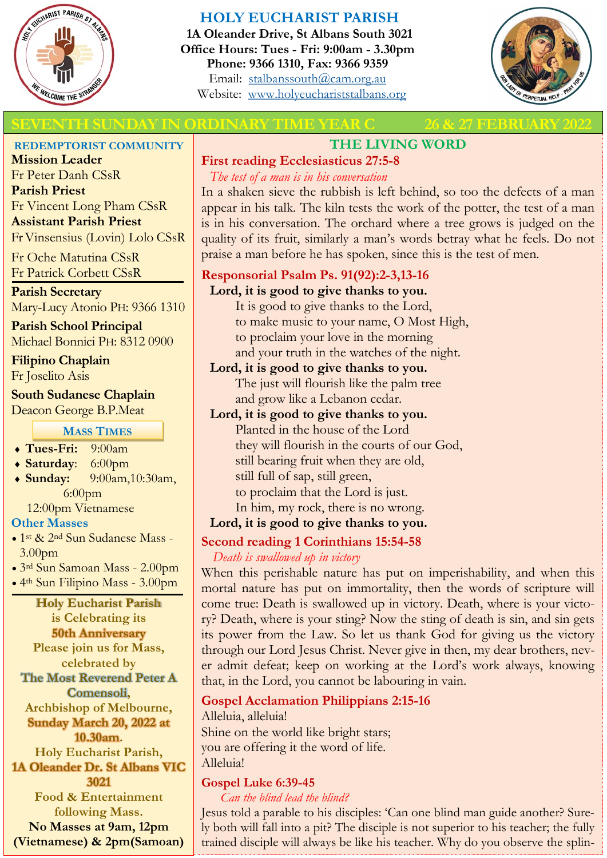

### **HOLY EUCHARIST PARISH**

**1A Oleander Drive, St Albans South 3021 Office Hours: Tues - Fri: 9:00am - 3.30pm Phone: 9366 1310, Fax: 9366 9359** Email: [stalbanssouth@cam.org.au](mailto:stalbanssouth@cam.org.au) Website:[www.holyeuchariststalbans.org](http://www.holyeuchariststalbans.org)



# **SEXUART IN ORDINARY TIME YEAR C 26 & 27 FEBRUARY**

### **REDEMPTORIST COMMUNITY**

**Mission Leader** Fr Peter Danh CSsR **Parish Priest** Fr Vincent Long Pham CSsR **Assistant Parish Priest**  Fr Vinsensius (Lovin) Lolo CSsR

Fr Oche Matutina CSsR Fr Patrick Corbett CSsR

### **Parish Secretary**

Mary-Lucy Atonio PH: 9366 1310

# **Parish School Principal**

Michael Bonnici PH: 8312 0900

# **Filipino Chaplain**

Fr Joselito Asis

### **South Sudanese Chaplain**

Deacon George B.P.Meat

### **MASS TIMES**

- **Tues-Fri:** 9:00am
- **Saturday**: 6:00pm
- **Sunday:** 9:00am,10:30am, 6:00pm

12:00pm Vietnamese

### **Other Masses**

- 1<sup>st</sup> & 2<sup>nd</sup> Sun Sudanese Mass -3.00pm
- 3rd Sun Samoan Mass 2.00pm 4th Sun Filipino Mass - 3.00pm

**Holy Eucharist Parish** 

**is Celebrating its 50th Anniversary Please join us for Mass, celebrated by The Most Reverend Peter A Comensoli, Archbishop of Melbourne, Sunday March 20, 2022 at 10.30am. Holy Eucharist Parish, 1A Oleander Dr. St Albans VIC 3021 Food & Entertainment following Mass.**

**No Masses at 9am, 12pm (Vietnamese) & 2pm(Samoan)**

# **THE LIVING WORD**

### **First reading Ecclesiasticus 27:5-8**

*The test of a man is in his conversation*

In a shaken sieve the rubbish is left behind, so too the defects of a man appear in his talk. The kiln tests the work of the potter, the test of a man is in his conversation. The orchard where a tree grows is judged on the quality of its fruit, similarly a man's words betray what he feels. Do not praise a man before he has spoken, since this is the test of men.

## **Responsorial Psalm Ps. 91(92):2-3,13-16**

### **Lord, it is good to give thanks to you.**

It is good to give thanks to the Lord, to make music to your name, O Most High, to proclaim your love in the morning and your truth in the watches of the night.

## **Lord, it is good to give thanks to you.**

The just will flourish like the palm tree and grow like a Lebanon cedar.

### **Lord, it is good to give thanks to you.**

Planted in the house of the Lord they will flourish in the courts of our God, still bearing fruit when they are old, still full of sap, still green,

to proclaim that the Lord is just.

In him, my rock, there is no wrong.

### **Lord, it is good to give thanks to you.**

## **Second reading 1 Corinthians 15:54-58**

## *Death is swallowed up in victory*

When this perishable nature has put on imperishability, and when this mortal nature has put on immortality, then the words of scripture will come true: Death is swallowed up in victory. Death, where is your victory? Death, where is your sting? Now the sting of death is sin, and sin gets its power from the Law. So let us thank God for giving us the victory through our Lord Jesus Christ. Never give in then, my dear brothers, never admit defeat; keep on working at the Lord's work always, knowing that, in the Lord, you cannot be labouring in vain.

## **Gospel Acclamation Philippians 2:15-16**

Alleluia, alleluia! Shine on the world like bright stars; you are offering it the word of life. Alleluia!

# **Gospel Luke 6:39-45**

### *Can the blind lead the blind?*

Jesus told a parable to his disciples: 'Can one blind man guide another? Surely both will fall into a pit? The disciple is not superior to his teacher; the fully trained disciple will always be like his teacher. Why do you observe the splin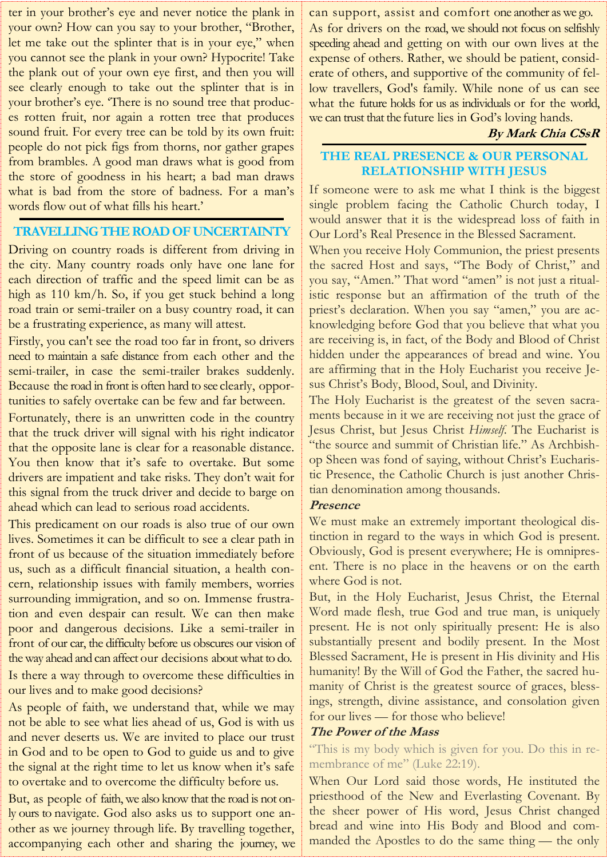ter in your brother's eye and never notice the plank in your own? How can you say to your brother, "Brother, let me take out the splinter that is in your eye," when you cannot see the plank in your own? Hypocrite! Take the plank out of your own eye first, and then you will see clearly enough to take out the splinter that is in your brother's eye. 'There is no sound tree that produces rotten fruit, nor again a rotten tree that produces sound fruit. For every tree can be told by its own fruit: people do not pick figs from thorns, nor gather grapes from brambles. A good man draws what is good from the store of goodness in his heart; a bad man draws what is bad from the store of badness. For a man's words flow out of what fills his heart.'

#### **TRAVELLING THE ROAD OF UNCERTAINTY**

Driving on country roads is different from driving in the city. Many country roads only have one lane for each direction of traffic and the speed limit can be as high as 110 km/h. So, if you get stuck behind a long road train or semi-trailer on a busy country road, it can be a frustrating experience, as many will attest.

Firstly, you can't see the road too far in front, so drivers need to maintain a safe distance from each other and the semi-trailer, in case the semi-trailer brakes suddenly. Because the road in front is often hard to see clearly, opportunities to safely overtake can be few and far between.

Fortunately, there is an unwritten code in the country that the truck driver will signal with his right indicator that the opposite lane is clear for a reasonable distance. You then know that it's safe to overtake. But some drivers are impatient and take risks. They don't wait for this signal from the truck driver and decide to barge on ahead which can lead to serious road accidents.

This predicament on our roads is also true of our own lives. Sometimes it can be difficult to see a clear path in front of us because of the situation immediately before us, such as a difficult financial situation, a health concern, relationship issues with family members, worries surrounding immigration, and so on. Immense frustration and even despair can result. We can then make poor and dangerous decisions. Like a semi-trailer in front of our car, the difficulty before us obscures our vision of the way ahead and can affect our decisions about what to do. Is there a way through to overcome these difficulties in our lives and to make good decisions?

As people of faith, we understand that, while we may not be able to see what lies ahead of us, God is with us and never deserts us. We are invited to place our trust in God and to be open to God to guide us and to give the signal at the right time to let us know when it's safe to overtake and to overcome the difficulty before us.

But, as people of faith, we also know that the road is not only ours to navigate. God also asks us to support one another as we journey through life. By travelling together, accompanying each other and sharing the journey, we can support, assist and comfort one another as we go. As for drivers on the road, we should not focus on selfishly speeding ahead and getting on with our own lives at the expense of others. Rather, we should be patient, considerate of others, and supportive of the community of fellow travellers, God's family. While none of us can see what the future holds for us as individuals or for the world, we can trust that the future lies in God's loving hands.

#### **By Mark Chia CSsR**

#### **THE REAL PRESENCE & OUR PERSONAL RELATIONSHIP WITH JESUS**

If someone were to ask me what I think is the biggest single problem facing the Catholic Church today, I would answer that it is the widespread loss of faith in Our Lord's Real Presence in the Blessed Sacrament.

When you receive Holy Communion, the priest presents the sacred Host and says, "The Body of Christ," and you say, "Amen." That word "amen" is not just a ritualistic response but an affirmation of the truth of the priest's declaration. When you say "amen," you are acknowledging before God that you believe that what you are receiving is, in fact, of the Body and Blood of Christ hidden under the appearances of bread and wine. You are affirming that in the Holy Eucharist you receive Jesus Christ's Body, Blood, Soul, and Divinity.

The Holy Eucharist is the greatest of the seven sacraments because in it we are receiving not just the grace of Jesus Christ, but Jesus Christ *Himself*. The Eucharist is "the source and summit of Christian life." As Archbishop Sheen was fond of saying, without Christ's Eucharistic Presence, the Catholic Church is just another Christian denomination among thousands.

#### **Presence**

We must make an extremely important theological distinction in regard to the ways in which God is present. Obviously, God is present everywhere; He is omnipresent. There is no place in the heavens or on the earth where God is not.

But, in the Holy Eucharist, Jesus Christ, the Eternal Word made flesh, true God and true man, is uniquely present. He is not only spiritually present: He is also substantially present and bodily present. In the Most Blessed Sacrament, He is present in His divinity and His humanity! By the Will of God the Father, the sacred humanity of Christ is the greatest source of graces, blessings, strength, divine assistance, and consolation given for our lives — for those who believe!

#### **The Power of the Mass**

#### "This is my body which is given for you. Do this in remembrance of me" (Luke 22:19).

When Our Lord said those words, He instituted the priesthood of the New and Everlasting Covenant. By the sheer power of His word, Jesus Christ changed bread and wine into His Body and Blood and commanded the Apostles to do the same thing — the only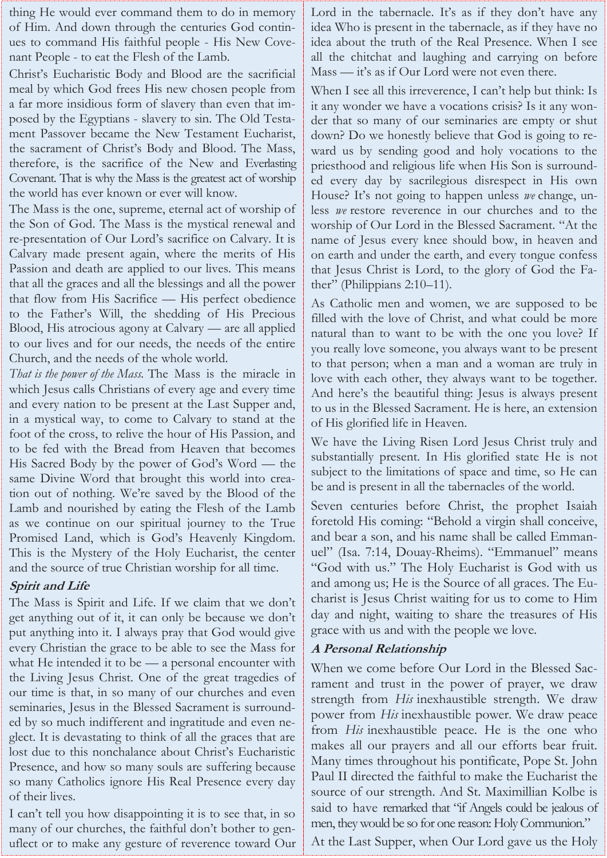thing He would ever command them to do in memory of Him. And down through the centuries God continues to command His faithful people - His New Covenant People - to eat the Flesh of the Lamb.

Christ's Eucharistic Body and Blood are the sacrificial meal by which God frees His new chosen people from a far more insidious form of slavery than even that imposed by the Egyptians - slavery to sin. The Old Testament Passover became the New Testament Eucharist, the sacrament of Christ's Body and Blood. The Mass, therefore, is the sacrifice of the New and Everlasting Covenant. That is why the Mass is the greatest act of worship the world has ever known or ever will know.

The Mass is the one, supreme, eternal act of worship of the Son of God. The Mass is the mystical renewal and re-presentation of Our Lord's sacrifice on Calvary. It is Calvary made present again, where the merits of His Passion and death are applied to our lives. This means that all the graces and all the blessings and all the power that flow from His Sacrifice — His perfect obedience to the Father's Will, the shedding of His Precious Blood, His atrocious agony at Calvary — are all applied to our lives and for our needs, the needs of the entire Church, and the needs of the whole world.

*That is the power of the Mass.* The Mass is the miracle in which Jesus calls Christians of every age and every time and every nation to be present at the Last Supper and, in a mystical way, to come to Calvary to stand at the foot of the cross, to relive the hour of His Passion, and to be fed with the Bread from Heaven that becomes His Sacred Body by the power of God's Word — the same Divine Word that brought this world into creation out of nothing. We're saved by the Blood of the Lamb and nourished by eating the Flesh of the Lamb as we continue on our spiritual journey to the True Promised Land, which is God's Heavenly Kingdom. This is the Mystery of the Holy Eucharist, the center and the source of true Christian worship for all time.

### **Spirit and Life**

The Mass is Spirit and Life. If we claim that we don't get anything out of it, it can only be because we don't put anything into it. I always pray that God would give every Christian the grace to be able to see the Mass for what He intended it to be — a personal encounter with the Living Jesus Christ. One of the great tragedies of our time is that, in so many of our churches and even seminaries, Jesus in the Blessed Sacrament is surrounded by so much indifferent and ingratitude and even neglect. It is devastating to think of all the graces that are lost due to this nonchalance about Christ's Eucharistic Presence, and how so many souls are suffering because so many Catholics ignore His Real Presence every day of their lives.

I can't tell you how disappointing it is to see that, in so many of our churches, the faithful don't bother to genuflect or to make any gesture of reverence toward Our Lord in the tabernacle. It's as if they don't have any idea Who is present in the tabernacle, as if they have no idea about the truth of the Real Presence. When I see all the chitchat and laughing and carrying on before Mass — it's as if Our Lord were not even there.

When I see all this irreverence, I can't help but think: Is it any wonder we have a vocations crisis? Is it any wonder that so many of our seminaries are empty or shut down? Do we honestly believe that God is going to reward us by sending good and holy vocations to the priesthood and religious life when His Son is surrounded every day by sacrilegious disrespect in His own House? It's not going to happen unless *we* change, unless *we* restore reverence in our churches and to the worship of Our Lord in the Blessed Sacrament. "At the name of Jesus every knee should bow, in heaven and on earth and under the earth, and every tongue confess that Jesus Christ is Lord, to the glory of God the Father" (Philippians 2:10–11).

As Catholic men and women, we are supposed to be filled with the love of Christ, and what could be more natural than to want to be with the one you love? If you really love someone, you always want to be present to that person; when a man and a woman are truly in love with each other, they always want to be together. And here's the beautiful thing: Jesus is always present to us in the Blessed Sacrament. He is here, an extension of His glorified life in Heaven.

We have the Living Risen Lord Jesus Christ truly and substantially present. In His glorified state He is not subject to the limitations of space and time, so He can be and is present in all the tabernacles of the world.

Seven centuries before Christ, the prophet Isaiah foretold His coming: "Behold a virgin shall conceive, and bear a son, and his name shall be called Emmanuel" (Isa. 7:14, Douay-Rheims). "Emmanuel" means "God with us." The Holy Eucharist is God with us and among us; He is the Source of all graces. The Eucharist is Jesus Christ waiting for us to come to Him day and night, waiting to share the treasures of His grace with us and with the people we love.

### **A Personal Relationship**

When we come before Our Lord in the Blessed Sacrament and trust in the power of prayer, we draw strength from *His* inexhaustible strength. We draw power from *His* inexhaustible power. We draw peace from *His* inexhaustible peace. He is the one who makes all our prayers and all our efforts bear fruit. Many times throughout his pontificate, Pope St. John Paul II directed the faithful to make the Eucharist the source of our strength. And St. Maximillian Kolbe is said to have remarked that "if Angels could be jealous of men, they would be so for one reason: Holy Communion."

At the Last Supper, when Our Lord gave us the Holy